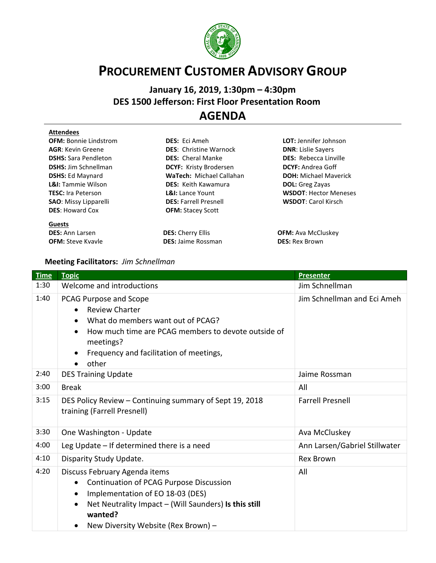

## **PROCUREMENT CUSTOMER ADVISORY GROUP**

## **January 16, 2019, 1:30pm – 4:30pm DES 1500 Jefferson: First Floor Presentation Room** …. **AGENDA**

| <b>Attendees</b>              |                               |                              |  |
|-------------------------------|-------------------------------|------------------------------|--|
| <b>OFM: Bonnie Lindstrom</b>  | <b>DES:</b> Eci Ameh          | <b>LOT:</b> Jennifer Johnson |  |
| <b>AGR: Kevin Greene</b>      | <b>DES:</b> Christine Warnock | <b>DNR: Lislie Sayers</b>    |  |
| <b>DSHS: Sara Pendleton</b>   | <b>DES:</b> Cheral Manke      | <b>DES:</b> Rebecca Linville |  |
| <b>DSHS:</b> Jim Schnellman   | <b>DCYF: Kristy Brodersen</b> | <b>DCYF:</b> Andrea Goff     |  |
| <b>DSHS: Ed Maynard</b>       | WaTech: Michael Callahan      | <b>DOH:</b> Michael Maverick |  |
| <b>L&amp;I:</b> Tammie Wilson | <b>DES:</b> Keith Kawamura    | <b>DOL:</b> Greg Zayas       |  |
| <b>TESC:</b> Ira Peterson     | <b>L&amp;I:</b> Lance Yount   | <b>WSDOT: Hector Meneses</b> |  |
| <b>SAO:</b> Missy Lipparelli  | <b>DES: Farrell Presnell</b>  | <b>WSDOT: Carol Kirsch</b>   |  |
| <b>DES: Howard Cox</b>        | <b>OFM: Stacey Scott</b>      |                              |  |
| <b>Guests</b>                 |                               |                              |  |
| <b>DES:</b> Ann Larsen        | <b>DES: Cherry Ellis</b>      | <b>OFM:</b> Ava McCluskey    |  |
| <b>OFM:</b> Steve Kyayle      | <b>DES: Jaime Rossman</b>     | <b>DES: Rex Brown</b>        |  |

## **Meeting Facilitators:** *Jim Schnellman*

| <b>Time</b> | <b>Topic</b>                                                                                                                                                                                                                         | <b>Presenter</b>              |
|-------------|--------------------------------------------------------------------------------------------------------------------------------------------------------------------------------------------------------------------------------------|-------------------------------|
| 1:30        | Welcome and introductions                                                                                                                                                                                                            | Jim Schnellman                |
| 1:40        | PCAG Purpose and Scope<br><b>Review Charter</b><br>What do members want out of PCAG?<br>How much time are PCAG members to devote outside of<br>meetings?<br>Frequency and facilitation of meetings,<br>other                         | Jim Schnellman and Eci Ameh   |
| 2:40        | <b>DES Training Update</b>                                                                                                                                                                                                           | Jaime Rossman                 |
| 3:00        | <b>Break</b>                                                                                                                                                                                                                         | All                           |
| 3:15        | DES Policy Review - Continuing summary of Sept 19, 2018<br>training (Farrell Presnell)                                                                                                                                               | <b>Farrell Presnell</b>       |
| 3:30        | One Washington - Update                                                                                                                                                                                                              | Ava McCluskey                 |
| 4:00        | Leg Update - If determined there is a need                                                                                                                                                                                           | Ann Larsen/Gabriel Stillwater |
| 4:10        | Disparity Study Update.                                                                                                                                                                                                              | <b>Rex Brown</b>              |
| 4:20        | Discuss February Agenda items<br>Continuation of PCAG Purpose Discussion<br>Implementation of EO 18-03 (DES)<br>$\bullet$<br>Net Neutrality Impact - (Will Saunders) Is this still<br>wanted?<br>New Diversity Website (Rex Brown) - | All                           |